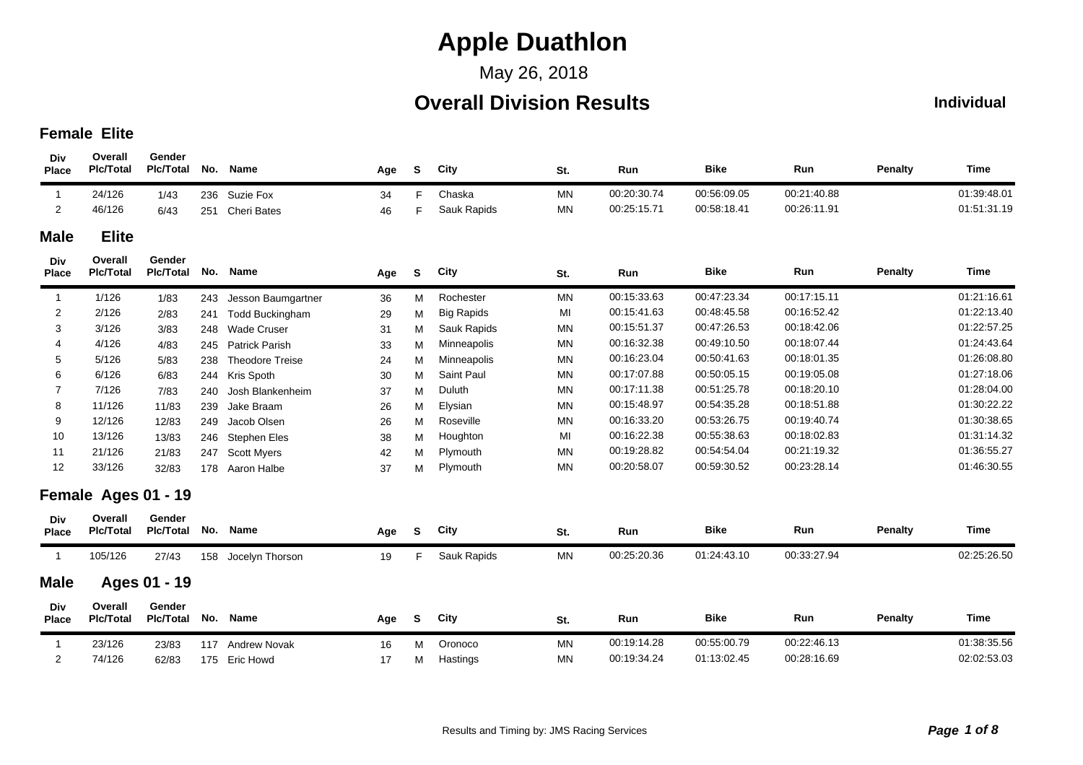## May 26, 2018

## **Overall Division Results**

#### **Individual**

#### **Female Elite**

| Div<br><b>Place</b> | Overall<br><b>Plc/Total</b> | Gender<br><b>PIc/Total</b> | No. | <b>Name</b>            | Age | S  | City              | St.            | Run         | <b>Bike</b> | Run         | <b>Penalty</b> | Time        |
|---------------------|-----------------------------|----------------------------|-----|------------------------|-----|----|-------------------|----------------|-------------|-------------|-------------|----------------|-------------|
| $\mathbf{1}$        | 24/126                      | 1/43                       | 236 | Suzie Fox              | 34  | F. | Chaska            | MN             | 00:20:30.74 | 00:56:09.05 | 00:21:40.88 |                | 01:39:48.01 |
| 2                   | 46/126                      | 6/43                       | 251 | <b>Cheri Bates</b>     | 46  | F. | Sauk Rapids       | <b>MN</b>      | 00:25:15.71 | 00:58:18.41 | 00:26:11.91 |                | 01:51:31.19 |
| <b>Male</b>         | <b>Elite</b>                |                            |     |                        |     |    |                   |                |             |             |             |                |             |
| Div<br><b>Place</b> | Overall<br><b>PIc/Total</b> | Gender<br><b>Plc/Total</b> | No. | <b>Name</b>            | Age | S  | City              | St.            | Run         | <b>Bike</b> | Run         | <b>Penalty</b> | Time        |
| $\mathbf{1}$        | 1/126                       | 1/83                       | 243 | Jesson Baumgartner     | 36  | м  | Rochester         | MN             | 00:15:33.63 | 00:47:23.34 | 00:17:15.11 |                | 01:21:16.61 |
| $\overline{2}$      | 2/126                       | 2/83                       | 241 | <b>Todd Buckingham</b> | 29  | М  | <b>Big Rapids</b> | MI             | 00:15:41.63 | 00:48:45.58 | 00:16:52.42 |                | 01:22:13.40 |
| 3                   | 3/126                       | 3/83                       | 248 | <b>Wade Cruser</b>     | 31  | М  | Sauk Rapids       | <b>MN</b>      | 00:15:51.37 | 00:47:26.53 | 00:18:42.06 |                | 01:22:57.25 |
|                     | 4/126                       | 4/83                       | 245 | <b>Patrick Parish</b>  | 33  | M  | Minneapolis       | <b>MN</b>      | 00:16:32.38 | 00:49:10.50 | 00:18:07.44 |                | 01:24:43.64 |
| 5                   | 5/126                       | 5/83                       | 238 | <b>Theodore Treise</b> | 24  | М  | Minneapolis       | <b>MN</b>      | 00:16:23.04 | 00:50:41.63 | 00:18:01.35 |                | 01:26:08.80 |
| 6                   | 6/126                       | 6/83                       | 244 | Kris Spoth             | 30  | М  | Saint Paul        | MN             | 00:17:07.88 | 00:50:05.15 | 00:19:05.08 |                | 01:27:18.06 |
| 7                   | 7/126                       | 7/83                       | 240 | Josh Blankenheim       | 37  | м  | Duluth            | <b>MN</b>      | 00:17:11.38 | 00:51:25.78 | 00:18:20.10 |                | 01:28:04.00 |
| 8                   | 11/126                      | 11/83                      | 239 | Jake Braam             | 26  | м  | Elysian           | MN             | 00:15:48.97 | 00:54:35.28 | 00:18:51.88 |                | 01:30:22.22 |
| 9                   | 12/126                      | 12/83                      | 249 | Jacob Olsen            | 26  | М  | Roseville         | <b>MN</b>      | 00:16:33.20 | 00:53:26.75 | 00:19:40.74 |                | 01:30:38.65 |
| 10                  | 13/126                      | 13/83                      | 246 | <b>Stephen Eles</b>    | 38  | М  | Houghton          | M <sub>l</sub> | 00:16:22.38 | 00:55:38.63 | 00:18:02.83 |                | 01:31:14.32 |
| 11                  | 21/126                      | 21/83                      | 247 | Scott Myers            | 42  | М  | Plymouth          | <b>MN</b>      | 00:19:28.82 | 00:54:54.04 | 00:21:19.32 |                | 01:36:55.27 |
| 12                  | 33/126                      | 32/83                      | 178 | Aaron Halbe            | 37  | М  | Plymouth          | <b>MN</b>      | 00:20:58.07 | 00:59:30.52 | 00:23:28.14 |                | 01:46:30.55 |
|                     | Female Ages 01 - 19         |                            |     |                        |     |    |                   |                |             |             |             |                |             |
| Div<br><b>Place</b> | Overall<br><b>Pic/Total</b> | Gender<br><b>Pic/Total</b> | No. | <b>Name</b>            | Age | S  | City              | St.            | Run         | <b>Bike</b> | Run         | <b>Penalty</b> | Time        |
| $\overline{1}$      | 105/126                     | 27/43                      |     | 158 Jocelyn Thorson    | 19  | F. | Sauk Rapids       | <b>MN</b>      | 00:25:20.36 | 01:24:43.10 | 00:33:27.94 |                | 02:25:26.50 |
| <b>Male</b>         |                             | Ages 01 - 19               |     |                        |     |    |                   |                |             |             |             |                |             |
| Div<br><b>Place</b> | Overall<br><b>Plc/Total</b> | Gender<br><b>Pic/Total</b> | No. | Name                   | Age | S  | City              | St.            | Run         | <b>Bike</b> | Run         | <b>Penalty</b> | <b>Time</b> |
| $\mathbf{1}$        | 23/126                      | 23/83                      | 117 | <b>Andrew Novak</b>    | 16  | м  | Oronoco           | <b>MN</b>      | 00:19:14.28 | 00:55:00.79 | 00:22:46.13 |                | 01:38:35.56 |
| 2                   | 74/126                      | 62/83                      |     | 175 Eric Howd          | 17  | М  | Hastings          | <b>MN</b>      | 00:19:34.24 | 01:13:02.45 | 00:28:16.69 |                | 02:02:53.03 |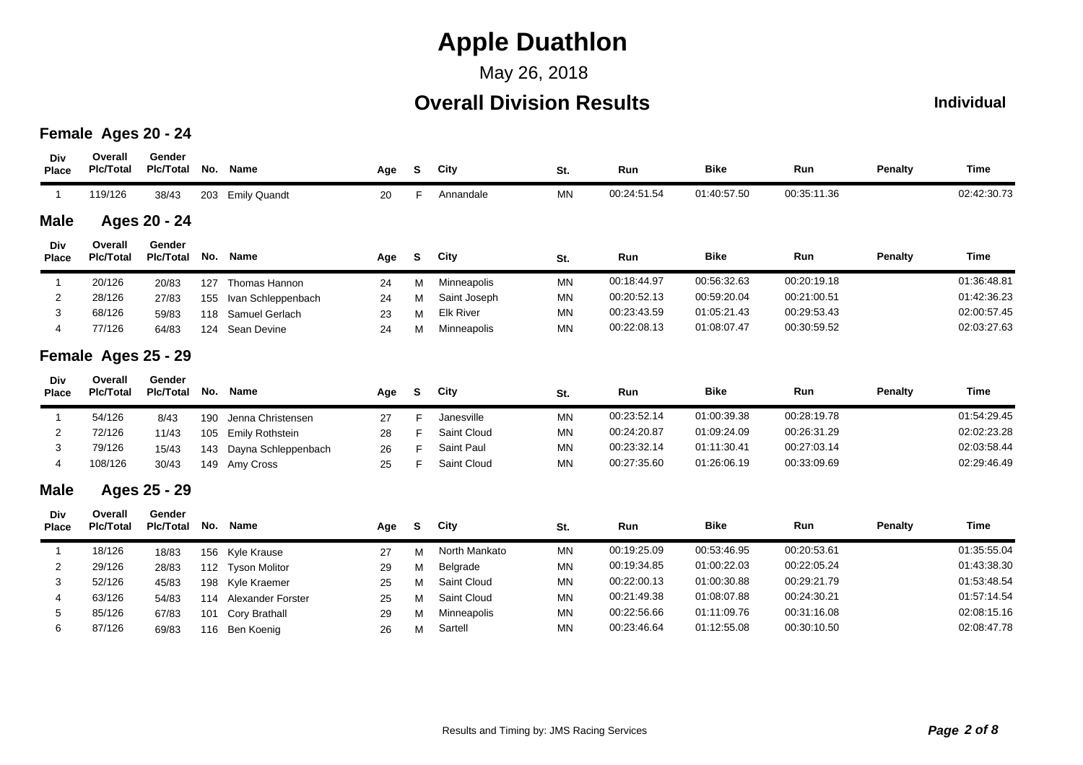May 26, 2018

## **Overall Division Results**

#### **Individual**

### **Female Ages 20 - 24**

| Div<br><b>Place</b> | Overall<br><b>PIc/Total</b> | Gender<br><b>Pic/Total</b> | No. | Name                     | Age | S. | City             | St.       | Run         | <b>Bike</b> | Run         | <b>Penalty</b> | <b>Time</b> |
|---------------------|-----------------------------|----------------------------|-----|--------------------------|-----|----|------------------|-----------|-------------|-------------|-------------|----------------|-------------|
| $\overline{1}$      | 119/126                     | 38/43                      | 203 | <b>Emily Quandt</b>      | 20  | F. | Annandale        | <b>MN</b> | 00:24:51.54 | 01:40:57.50 | 00:35:11.36 |                | 02:42:30.73 |
| <b>Male</b>         |                             | Ages 20 - 24               |     |                          |     |    |                  |           |             |             |             |                |             |
| Div<br><b>Place</b> | Overall<br><b>PIc/Total</b> | Gender<br><b>PIc/Total</b> | No. | <b>Name</b>              | Age | S  | City             | St.       | Run         | <b>Bike</b> | Run         | <b>Penalty</b> | Time        |
| -1                  | 20/126                      | 20/83                      | 127 | Thomas Hannon            | 24  | м  | Minneapolis      | <b>MN</b> | 00:18:44.97 | 00:56:32.63 | 00:20:19.18 |                | 01:36:48.81 |
| $\overline{c}$      | 28/126                      | 27/83                      | 155 | Ivan Schleppenbach       | 24  | M  | Saint Joseph     | <b>MN</b> | 00:20:52.13 | 00:59:20.04 | 00:21:00.51 |                | 01:42:36.23 |
| 3                   | 68/126                      | 59/83                      | 118 | Samuel Gerlach           | 23  | M  | <b>Elk River</b> | <b>MN</b> | 00:23:43.59 | 01:05:21.43 | 00:29:53.43 |                | 02:00:57.45 |
| 4                   | 77/126                      | 64/83                      | 124 | Sean Devine              | 24  | M  | Minneapolis      | <b>MN</b> | 00:22:08.13 | 01:08:07.47 | 00:30:59.52 |                | 02:03:27.63 |
|                     | Female Ages 25 - 29         |                            |     |                          |     |    |                  |           |             |             |             |                |             |
| Div<br><b>Place</b> | Overall<br><b>PIc/Total</b> | Gender<br><b>Plc/Total</b> | No. | Name                     | Age | S  | City             | St.       | Run         | <b>Bike</b> | Run         | <b>Penalty</b> | <b>Time</b> |
| 1                   | 54/126                      | 8/43                       | 190 | Jenna Christensen        | 27  | F. | Janesville       | <b>MN</b> | 00:23:52.14 | 01:00:39.38 | 00:28:19.78 |                | 01:54:29.45 |
| 2                   | 72/126                      | 11/43                      | 105 | Emily Rothstein          | 28  | F  | Saint Cloud      | <b>MN</b> | 00:24:20.87 | 01:09:24.09 | 00:26:31.29 |                | 02:02:23.28 |
| 3                   | 79/126                      | 15/43                      | 143 | Dayna Schleppenbach      | 26  | F  | Saint Paul       | <b>MN</b> | 00:23:32.14 | 01:11:30.41 | 00:27:03.14 |                | 02:03:58.44 |
| 4                   | 108/126                     | 30/43                      | 149 | Amy Cross                | 25  | F  | Saint Cloud      | <b>MN</b> | 00:27:35.60 | 01:26:06.19 | 00:33:09.69 |                | 02:29:46.49 |
| <b>Male</b>         |                             | Ages 25 - 29               |     |                          |     |    |                  |           |             |             |             |                |             |
| Div<br><b>Place</b> | Overall<br><b>Plc/Total</b> | Gender<br><b>PIc/Total</b> | No. | Name                     | Age | S. | City             | St.       | Run         | <b>Bike</b> | Run         | <b>Penalty</b> | <b>Time</b> |
|                     |                             |                            |     |                          |     |    |                  |           |             |             |             |                |             |
| $\mathbf{1}$        | 18/126                      | 18/83                      | 156 | Kyle Krause              | 27  | M  | North Mankato    | <b>MN</b> | 00:19:25.09 | 00:53:46.95 | 00:20:53.61 |                | 01:35:55.04 |
| $\overline{c}$      | 29/126                      | 28/83                      | 112 | <b>Tyson Molitor</b>     | 29  | M  | Belgrade         | <b>MN</b> | 00:19:34.85 | 01:00:22.03 | 00:22:05.24 |                | 01:43:38.30 |
| 3                   | 52/126                      | 45/83                      | 198 | Kyle Kraemer             | 25  | M  | Saint Cloud      | <b>MN</b> | 00:22:00.13 | 01:00:30.88 | 00:29:21.79 |                | 01:53:48.54 |
| 4                   | 63/126                      | 54/83                      | 114 | <b>Alexander Forster</b> | 25  | M  | Saint Cloud      | <b>MN</b> | 00:21:49.38 | 01:08:07.88 | 00:24:30.21 |                | 01:57:14.54 |
| 5                   | 85/126                      | 67/83                      | 101 | Cory Brathall            | 29  | M  | Minneapolis      | <b>MN</b> | 00:22:56.66 | 01:11:09.76 | 00:31:16.08 |                | 02:08:15.16 |
| 6                   | 87/126                      | 69/83                      | 116 | Ben Koenig               | 26  | М  | Sartell          | <b>MN</b> | 00:23:46.64 | 01:12:55.08 | 00:30:10.50 |                | 02:08:47.78 |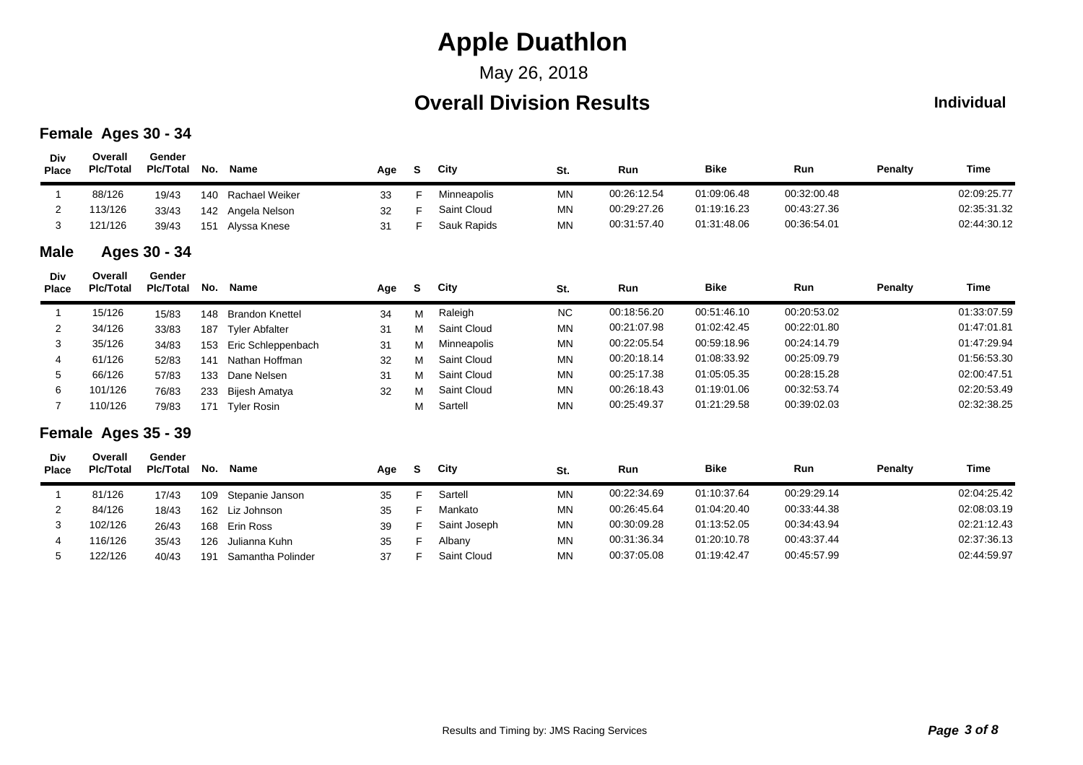## May 26, 2018

## **Overall Division Results**

#### **Individual**

### **Female Ages 30 - 34**

| Div<br><b>Place</b> | Overall<br><b>PIc/Total</b> | Gender<br><b>PIc/Total</b> | No. | Name                   | Age | S. | City         | St.       | Run         | <b>Bike</b> | Run         | Penalty        | <b>Time</b> |
|---------------------|-----------------------------|----------------------------|-----|------------------------|-----|----|--------------|-----------|-------------|-------------|-------------|----------------|-------------|
| $\mathbf 1$         | 88/126                      | 19/43                      | 140 | <b>Rachael Weiker</b>  | 33  | F. | Minneapolis  | <b>MN</b> | 00:26:12.54 | 01:09:06.48 | 00:32:00.48 |                | 02:09:25.77 |
| 2                   | 113/126                     | 33/43                      | 142 | Angela Nelson          | 32  | F  | Saint Cloud  | <b>MN</b> | 00:29:27.26 | 01:19:16.23 | 00:43:27.36 |                | 02:35:31.32 |
| 3                   | 121/126                     | 39/43                      | 151 | Alyssa Knese           | 31  | F  | Sauk Rapids  | <b>MN</b> | 00:31:57.40 | 01:31:48.06 | 00:36:54.01 |                | 02:44:30.12 |
| <b>Male</b>         |                             | Ages 30 - 34               |     |                        |     |    |              |           |             |             |             |                |             |
| Div<br><b>Place</b> | Overall<br><b>PIc/Total</b> | Gender<br><b>PIc/Total</b> | No. | Name                   | Age | S. | City         | St.       | Run         | <b>Bike</b> | Run         | Penalty        | <b>Time</b> |
| $\mathbf 1$         | 15/126                      | 15/83                      | 148 | <b>Brandon Knettel</b> | 34  | M  | Raleigh      | <b>NC</b> | 00:18:56.20 | 00:51:46.10 | 00:20:53.02 |                | 01:33:07.59 |
| 2                   | 34/126                      | 33/83                      | 187 | <b>Tyler Abfalter</b>  | 31  | м  | Saint Cloud  | <b>MN</b> | 00:21:07.98 | 01:02:42.45 | 00:22:01.80 |                | 01:47:01.81 |
| 3                   | 35/126                      | 34/83                      | 153 | Eric Schleppenbach     | 31  | M  | Minneapolis  | <b>MN</b> | 00:22:05.54 | 00:59:18.96 | 00:24:14.79 |                | 01:47:29.94 |
| 4                   | 61/126                      | 52/83                      | 141 | Nathan Hoffman         | 32  | M  | Saint Cloud  | <b>MN</b> | 00:20:18.14 | 01:08:33.92 | 00:25:09.79 |                | 01:56:53.30 |
| 5                   | 66/126                      | 57/83                      | 133 | Dane Nelsen            | 31  | M  | Saint Cloud  | <b>MN</b> | 00:25:17.38 | 01:05:05.35 | 00:28:15.28 |                | 02:00:47.51 |
| 6                   | 101/126                     | 76/83                      | 233 | Bijesh Amatya          | 32  | M  | Saint Cloud  | <b>MN</b> | 00:26:18.43 | 01:19:01.06 | 00:32:53.74 |                | 02:20:53.49 |
| 7                   | 110/126                     | 79/83                      | 171 | <b>Tyler Rosin</b>     |     | М  | Sartell      | <b>MN</b> | 00:25:49.37 | 01:21:29.58 | 00:39:02.03 |                | 02:32:38.25 |
|                     | Female Ages 35 - 39         |                            |     |                        |     |    |              |           |             |             |             |                |             |
| Div<br><b>Place</b> | Overall<br><b>PIc/Total</b> | Gender<br><b>PIc/Total</b> | No. | Name                   | Age | S. | City         | St.       | Run         | <b>Bike</b> | Run         | <b>Penalty</b> | <b>Time</b> |
| 1                   | 81/126                      | 17/43                      | 109 | Stepanie Janson        | 35  | F. | Sartell      | <b>MN</b> | 00:22:34.69 | 01:10:37.64 | 00:29:29.14 |                | 02:04:25.42 |
| 2                   | 84/126                      | 18/43                      | 162 | Liz Johnson            | 35  | F  | Mankato      | <b>MN</b> | 00:26:45.64 | 01:04:20.40 | 00:33:44.38 |                | 02:08:03.19 |
| 3                   | 102/126                     | 26/43                      | 168 | Erin Ross              | 39  | F  | Saint Joseph | <b>MN</b> | 00:30:09.28 | 01:13:52.05 | 00:34:43.94 |                | 02:21:12.43 |
| 4                   | 116/126                     | 35/43                      | 126 | Julianna Kuhn          | 35  | F  | Albany       | <b>MN</b> | 00:31:36.34 | 01:20:10.78 | 00:43:37.44 |                | 02:37:36.13 |
| 5                   | 122/126                     | 40/43                      | 191 | Samantha Polinder      | 37  | F  | Saint Cloud  | <b>MN</b> | 00:37:05.08 | 01:19:42.47 | 00:45:57.99 |                | 02:44:59.97 |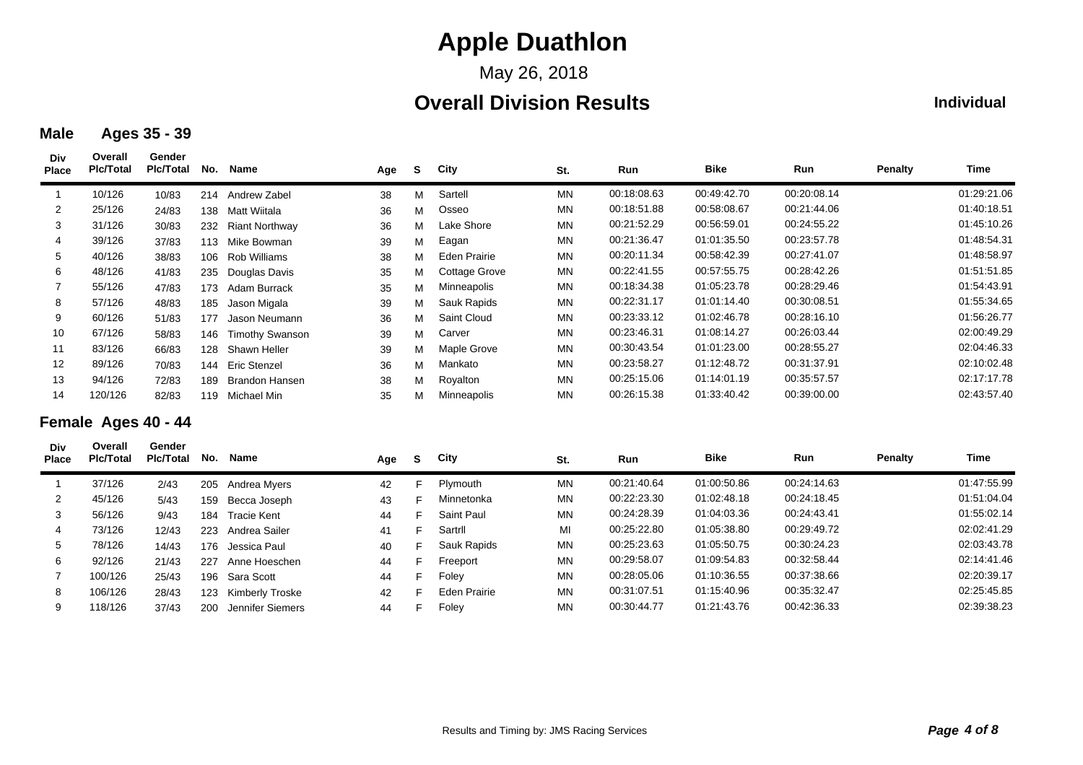May 26, 2018

### **Overall Division Results**

#### **Individual**

#### **Male Ages 35 - 39**

| Div<br><b>Place</b> | Overall<br><b>PIc/Total</b> | Gender<br><b>Pic/Total</b> | No. | Name                   | Age | S. | City          | St.       | Run         | <b>Bike</b> | Run         | Penalty | Time        |
|---------------------|-----------------------------|----------------------------|-----|------------------------|-----|----|---------------|-----------|-------------|-------------|-------------|---------|-------------|
|                     | 10/126                      | 10/83                      | 214 | Andrew Zabel           | 38  | М  | Sartell       | <b>MN</b> | 00:18:08.63 | 00:49:42.70 | 00:20:08.14 |         | 01:29:21.06 |
| 2                   | 25/126                      | 24/83                      | 138 | Matt Wiitala           | 36  | м  | Osseo         | <b>MN</b> | 00:18:51.88 | 00:58:08.67 | 00:21:44.06 |         | 01:40:18.51 |
| 3                   | 31/126                      | 30/83                      | 232 | <b>Riant Northway</b>  | 36  | м  | Lake Shore    | MN        | 00:21:52.29 | 00:56:59.01 | 00:24:55.22 |         | 01:45:10.26 |
| 4                   | 39/126                      | 37/83                      | 113 | Mike Bowman            | 39  | м  | Eagan         | <b>MN</b> | 00:21:36.47 | 01:01:35.50 | 00:23:57.78 |         | 01:48:54.31 |
| 5                   | 40/126                      | 38/83                      | 106 | Rob Williams           | 38  | м  | Eden Prairie  | <b>MN</b> | 00:20:11.34 | 00:58:42.39 | 00:27:41.07 |         | 01:48:58.97 |
| 6                   | 48/126                      | 41/83                      | 235 | Douglas Davis          | 35  | м  | Cottage Grove | <b>MN</b> | 00:22:41.55 | 00:57:55.75 | 00:28:42.26 |         | 01:51:51.85 |
|                     | 55/126                      | 47/83                      | 173 | Adam Burrack           | 35  | м  | Minneapolis   | <b>MN</b> | 00:18:34.38 | 01:05:23.78 | 00:28:29.46 |         | 01:54:43.91 |
| 8                   | 57/126                      | 48/83                      | 185 | Jason Migala           | 39  | м  | Sauk Rapids   | <b>MN</b> | 00:22:31.17 | 01:01:14.40 | 00:30:08.51 |         | 01:55:34.65 |
| 9                   | 60/126                      | 51/83                      | 177 | Jason Neumann          | 36  | м  | Saint Cloud   | <b>MN</b> | 00:23:33.12 | 01:02:46.78 | 00:28:16.10 |         | 01:56:26.77 |
| 10                  | 67/126                      | 58/83                      | 146 | <b>Timothy Swanson</b> | 39  | м  | Carver        | <b>MN</b> | 00:23:46.31 | 01:08:14.27 | 00:26:03.44 |         | 02:00:49.29 |
| 11                  | 83/126                      | 66/83                      | 128 | Shawn Heller           | 39  | м  | Maple Grove   | <b>MN</b> | 00:30:43.54 | 01:01:23.00 | 00:28:55.27 |         | 02:04:46.33 |
| 12                  | 89/126                      | 70/83                      |     | 144 Eric Stenzel       | 36  | м  | Mankato       | <b>MN</b> | 00:23:58.27 | 01:12:48.72 | 00:31:37.91 |         | 02:10:02.48 |
| 13                  | 94/126                      | 72/83                      | 189 | Brandon Hansen         | 38  | м  | Royalton      | <b>MN</b> | 00:25:15.06 | 01:14:01.19 | 00:35:57.57 |         | 02:17:17.78 |
| 14                  | 120/126                     | 82/83                      | 119 | Michael Min            | 35  | м  | Minneapolis   | <b>MN</b> | 00:26:15.38 | 01:33:40.42 | 00:39:00.00 |         | 02:43:57.40 |

### **Female Ages 40 - 44**

| Div<br><b>Place</b> | Overall<br><b>PIc/Total</b> | Gender<br><b>PIc/Total</b> | No. | Name             | Age | S. | City                | St.       | <b>Run</b>  | <b>Bike</b> | <b>Run</b>  | <b>Penalty</b> | Time        |
|---------------------|-----------------------------|----------------------------|-----|------------------|-----|----|---------------------|-----------|-------------|-------------|-------------|----------------|-------------|
|                     | 37/126                      | 2/43                       |     | 205 Andrea Myers | 42  | F. | Plymouth            | MN        | 00:21:40.64 | 01:00:50.86 | 00:24:14.63 |                | 01:47:55.99 |
| 2                   | 45/126                      | 5/43                       | 159 | Becca Joseph     | 43  |    | Minnetonka          | <b>MN</b> | 00:22:23.30 | 01:02:48.18 | 00:24:18.45 |                | 01:51:04.04 |
| 3                   | 56/126                      | 9/43                       | 184 | Tracie Kent      | 44  | F. | Saint Paul          | <b>MN</b> | 00:24:28.39 | 01:04:03.36 | 00:24:43.41 |                | 01:55:02.14 |
| 4                   | 73/126                      | 12/43                      | 223 | Andrea Sailer    | 41  | F. | Sartril             | MI        | 00:25:22.80 | 01:05:38.80 | 00:29:49.72 |                | 02:02:41.29 |
| 5                   | 78/126                      | 14/43                      | 176 | Jessica Paul     | 40  | E  | Sauk Rapids         | <b>MN</b> | 00:25:23.63 | 01:05:50.75 | 00:30:24.23 |                | 02:03:43.78 |
| 6                   | 92/126                      | 21/43                      | 227 | Anne Hoeschen    | 44  | F. | Freeport            | <b>MN</b> | 00:29:58.07 | 01:09:54.83 | 00:32:58.44 |                | 02:14:41.46 |
|                     | 100/126                     | 25/43                      | 196 | Sara Scott       | 44  | F. | Foley               | <b>MN</b> | 00:28:05.06 | 01:10:36.55 | 00:37:38.66 |                | 02:20:39.17 |
| 8                   | 106/126                     | 28/43                      | 123 | Kimberly Troske  | 42  | E  | <b>Eden Prairie</b> | <b>MN</b> | 00:31:07.51 | 01:15:40.96 | 00:35:32.47 |                | 02:25:45.85 |
| 9                   | 118/126                     | 37/43                      | 200 | Jennifer Siemers | 44  | F. | Foley               | MN        | 00:30:44.77 | 01:21:43.76 | 00:42:36.33 |                | 02:39:38.23 |
|                     |                             |                            |     |                  |     |    |                     |           |             |             |             |                |             |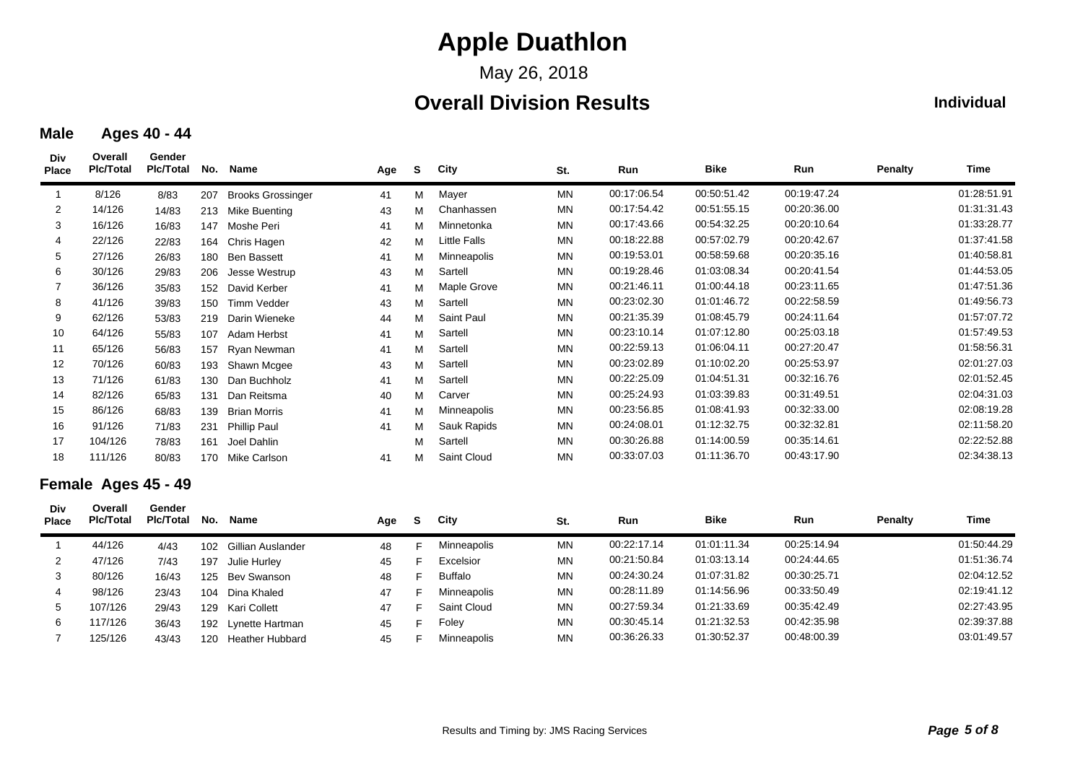May 26, 2018

### **Overall Division Results**

### **Individual**

#### **Male Ages 40 - 44**

| Div<br><b>Place</b> | Overall<br><b>PIc/Total</b> | Gender<br><b>PIc/Total</b> | No. | Name                     | Age | <b>S</b> | City         | St.       | Run         | <b>Bike</b> | Run         | Penalty | Time        |
|---------------------|-----------------------------|----------------------------|-----|--------------------------|-----|----------|--------------|-----------|-------------|-------------|-------------|---------|-------------|
|                     | 8/126                       | 8/83                       | 207 | <b>Brooks Grossinger</b> | 41  | м        | Mayer        | MN        | 00:17:06.54 | 00:50:51.42 | 00:19:47.24 |         | 01:28:51.91 |
| 2                   | 14/126                      | 14/83                      | 213 | Mike Buenting            | 43  | м        | Chanhassen   | <b>MN</b> | 00:17:54.42 | 00:51:55.15 | 00:20:36.00 |         | 01:31:31.43 |
| 3                   | 16/126                      | 16/83                      | 147 | Moshe Peri               | 41  | М        | Minnetonka   | MN        | 00:17:43.66 | 00:54:32.25 | 00:20:10.64 |         | 01:33:28.77 |
| 4                   | 22/126                      | 22/83                      | 164 | Chris Hagen              | 42  | М        | Little Falls | <b>MN</b> | 00:18:22.88 | 00:57:02.79 | 00:20:42.67 |         | 01:37:41.58 |
| 5                   | 27/126                      | 26/83                      | 180 | <b>Ben Bassett</b>       | 41  | м        | Minneapolis  | ΜN        | 00:19:53.01 | 00:58:59.68 | 00:20:35.16 |         | 01:40:58.81 |
| 6                   | 30/126                      | 29/83                      | 206 | Jesse Westrup            | 43  | М        | Sartell      | MN        | 00:19:28.46 | 01:03:08.34 | 00:20:41.54 |         | 01:44:53.05 |
|                     | 36/126                      | 35/83                      | 152 | David Kerber             | 41  | М        | Maple Grove  | <b>MN</b> | 00:21:46.11 | 01:00:44.18 | 00:23:11.65 |         | 01:47:51.36 |
| 8                   | 41/126                      | 39/83                      | 150 | <b>Timm Vedder</b>       | 43  | М        | Sartell      | MN        | 00:23:02.30 | 01:01:46.72 | 00:22:58.59 |         | 01:49:56.73 |
| 9                   | 62/126                      | 53/83                      | 219 | Darin Wieneke            | 44  | м        | Saint Paul   | MN        | 00:21:35.39 | 01:08:45.79 | 00:24:11.64 |         | 01:57:07.72 |
| 10                  | 64/126                      | 55/83                      | 107 | Adam Herbst              | 41  | М        | Sartell      | MN        | 00:23:10.14 | 01:07:12.80 | 00:25:03.18 |         | 01:57:49.53 |
| 11                  | 65/126                      | 56/83                      | 157 | Ryan Newman              | 41  | М        | Sartell      | MN        | 00:22:59.13 | 01:06:04.11 | 00:27:20.47 |         | 01:58:56.31 |
| 12                  | 70/126                      | 60/83                      | 193 | Shawn Mcgee              | 43  | м        | Sartell      | MN        | 00:23:02.89 | 01:10:02.20 | 00:25:53.97 |         | 02:01:27.03 |
| 13                  | 71/126                      | 61/83                      | 130 | Dan Buchholz             | 41  | м        | Sartell      | MN        | 00:22:25.09 | 01:04:51.31 | 00:32:16.76 |         | 02:01:52.45 |
| 14                  | 82/126                      | 65/83                      | 131 | Dan Reitsma              | 40  | м        | Carver       | MN        | 00:25:24.93 | 01:03:39.83 | 00:31:49.51 |         | 02:04:31.03 |
| 15                  | 86/126                      | 68/83                      | 139 | <b>Brian Morris</b>      | 41  | м        | Minneapolis  | <b>MN</b> | 00:23:56.85 | 01:08:41.93 | 00:32:33.00 |         | 02:08:19.28 |
| 16                  | 91/126                      | 71/83                      | 231 | <b>Phillip Paul</b>      | 41  | М        | Sauk Rapids  | MN        | 00:24:08.01 | 01:12:32.75 | 00:32:32.81 |         | 02:11:58.20 |
| 17                  | 104/126                     | 78/83                      | 161 | Joel Dahlin              |     | м        | Sartell      | MN        | 00:30:26.88 | 01:14:00.59 | 00:35:14.61 |         | 02:22:52.88 |
| 18                  | 111/126                     | 80/83                      |     | 170 Mike Carlson         | 41  | м        | Saint Cloud  | MN        | 00:33:07.03 | 01:11:36.70 | 00:43:17.90 |         | 02:34:38.13 |

#### **Female Ages 45 - 49**

| Div<br><b>Place</b> | Overall<br><b>PIc/Total</b> | Gender<br><b>PIc/Total</b> | No. | Name                   | Age | S. | City           | St.       | Run         | <b>Bike</b> | Run         | <b>Penalty</b> | Time        |
|---------------------|-----------------------------|----------------------------|-----|------------------------|-----|----|----------------|-----------|-------------|-------------|-------------|----------------|-------------|
|                     | 44/126                      | 4/43                       | 102 | Gillian Auslander      | 48  |    | Minneapolis    | <b>MN</b> | 00:22:17.14 | 01:01:11.34 | 00:25:14.94 |                | 01:50:44.29 |
|                     | 47/126                      | 7/43                       | 197 | Julie Hurley           | 45  |    | Excelsior      | <b>MN</b> | 00:21:50.84 | 01:03:13.14 | 00:24:44.65 |                | 01:51:36.74 |
|                     | 80/126                      | 16/43                      | 125 | Bev Swanson            | 48  | ┕  | <b>Buffalo</b> | <b>MN</b> | 00:24:30.24 | 01:07:31.82 | 00:30:25.71 |                | 02:04:12.52 |
|                     | 98/126                      | 23/43                      | 104 | Dina Khaled            | 47  |    | Minneapolis    | <b>MN</b> | 00:28:11.89 | 01:14:56.96 | 00:33:50.49 |                | 02:19:41.12 |
|                     | 107/126                     | 29/43                      | 129 | Kari Collett           | 47  | c  | Saint Cloud    | <b>MN</b> | 00:27:59.34 | 01:21:33.69 | 00:35:42.49 |                | 02:27:43.95 |
| 6                   | 117/126                     | 36/43                      | 192 | Lynette Hartman        | 45  | c  | Foley          | <b>MN</b> | 00:30:45.14 | 01:21:32.53 | 00:42:35.98 |                | 02:39:37.88 |
|                     | 125/126                     | 43/43                      | 120 | <b>Heather Hubbard</b> | 45  |    | Minneapolis    | <b>MN</b> | 00:36:26.33 | 01:30:52.37 | 00:48:00.39 |                | 03:01:49.57 |
|                     |                             |                            |     |                        |     |    |                |           |             |             |             |                |             |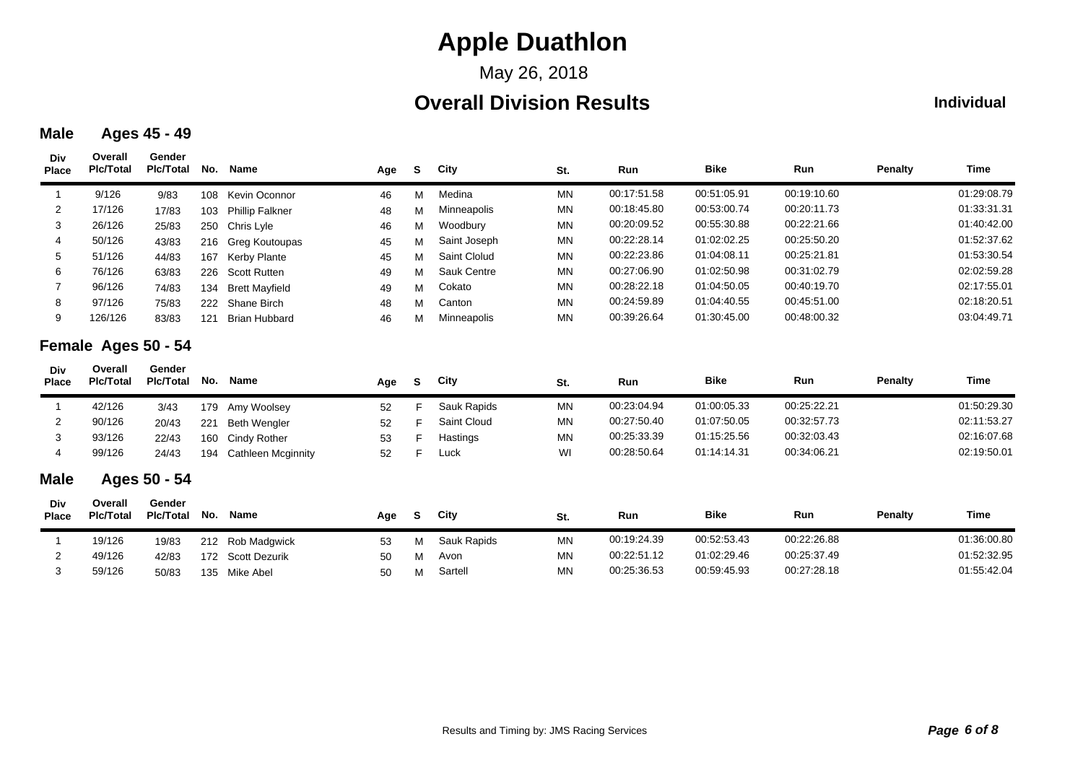May 26, 2018

### **Overall Division Results**

#### **Individual**

#### **Male Ages 45 - 49**

| Div<br><b>Place</b> | Overall<br><b>PIc/Total</b> | Gender<br>Plc/Total        | No. | Name                      | Age | S. | City         | St.       | Run         | <b>Bike</b> | Run         | <b>Penalty</b> | <b>Time</b> |
|---------------------|-----------------------------|----------------------------|-----|---------------------------|-----|----|--------------|-----------|-------------|-------------|-------------|----------------|-------------|
|                     | 9/126                       | 9/83                       | 108 | Kevin Oconnor             | 46  | М  | Medina       | <b>MN</b> | 00:17:51.58 | 00:51:05.91 | 00:19:10.60 |                | 01:29:08.79 |
| 2                   | 17/126                      | 17/83                      | 103 | <b>Phillip Falkner</b>    | 48  | М  | Minneapolis  | <b>MN</b> | 00:18:45.80 | 00:53:00.74 | 00:20:11.73 |                | 01:33:31.31 |
| 3                   | 26/126                      | 25/83                      | 250 | Chris Lyle                | 46  | М  | Woodbury     | <b>MN</b> | 00:20:09.52 | 00:55:30.88 | 00:22:21.66 |                | 01:40:42.00 |
|                     | 50/126                      | 43/83                      | 216 | Greg Koutoupas            | 45  | М  | Saint Joseph | <b>MN</b> | 00:22:28.14 | 01:02:02.25 | 00:25:50.20 |                | 01:52:37.62 |
| 5                   | 51/126                      | 44/83                      | 167 | <b>Kerby Plante</b>       | 45  | м  | Saint Clolud | <b>MN</b> | 00:22:23.86 | 01:04:08.11 | 00:25:21.81 |                | 01:53:30.54 |
| 6                   | 76/126                      | 63/83                      | 226 | <b>Scott Rutten</b>       | 49  | М  | Sauk Centre  | <b>MN</b> | 00:27:06.90 | 01:02:50.98 | 00:31:02.79 |                | 02:02:59.28 |
| 7                   | 96/126                      | 74/83                      | 134 | <b>Brett Mayfield</b>     | 49  | М  | Cokato       | <b>MN</b> | 00:28:22.18 | 01:04:50.05 | 00:40:19.70 |                | 02:17:55.01 |
| 8                   | 97/126                      | 75/83                      | 222 | Shane Birch               | 48  | М  | Canton       | <b>MN</b> | 00:24:59.89 | 01:04:40.55 | 00:45:51.00 |                | 02:18:20.51 |
| 9                   | 126/126                     | 83/83                      | 121 | <b>Brian Hubbard</b>      | 46  | м  | Minneapolis  | <b>MN</b> | 00:39:26.64 | 01:30:45.00 | 00:48:00.32 |                | 03:04:49.71 |
|                     | Female Ages 50 - 54         |                            |     |                           |     |    |              |           |             |             |             |                |             |
| Div<br><b>Place</b> | Overall<br><b>PIc/Total</b> | Gender<br><b>PIc/Total</b> | No. | Name                      | Age | S  | City         | St.       | Run         | <b>Bike</b> | Run         | <b>Penalty</b> | <b>Time</b> |
| -1                  | 42/126                      | 3/43                       | 179 | Amy Woolsey               | 52  | F  | Sauk Rapids  | <b>MN</b> | 00:23:04.94 | 01:00:05.33 | 00:25:22.21 |                | 01:50:29.30 |
| 2                   | 90/126                      | 20/43                      | 221 | <b>Beth Wengler</b>       | 52  | F  | Saint Cloud  | <b>MN</b> | 00:27:50.40 | 01:07:50.05 | 00:32:57.73 |                | 02:11:53.27 |
| 3                   | 93/126                      | 22/43                      | 160 | <b>Cindy Rother</b>       | 53  | F  | Hastings     | <b>MN</b> | 00:25:33.39 | 01:15:25.56 | 00:32:03.43 |                | 02:16:07.68 |
| 4                   | 99/126                      | 24/43                      | 194 | <b>Cathleen Mcginnity</b> | 52  | F  | Luck         | WI        | 00:28:50.64 | 01:14:14.31 | 00:34:06.21 |                | 02:19:50.01 |
| <b>Male</b>         |                             | Ages 50 - 54               |     |                           |     |    |              |           |             |             |             |                |             |
| Div<br><b>Place</b> | Overall<br><b>Plc/Total</b> | Gender<br><b>PIc/Total</b> | No. | Name                      | Age | S. | City         | St.       | Run         | <b>Bike</b> | Run         | <b>Penalty</b> | <b>Time</b> |
|                     | 19/126                      | 19/83                      | 212 | Rob Madgwick              | 53  | м  | Sauk Rapids  | <b>MN</b> | 00:19:24.39 | 00:52:53.43 | 00:22:26.88 |                | 01:36:00.80 |
| 2                   | 49/126                      | 42/83                      | 172 | <b>Scott Dezurik</b>      | 50  | м  | Avon         | <b>MN</b> | 00:22:51.12 | 01:02:29.46 | 00:25:37.49 |                | 01:52:32.95 |
| 3                   | 59/126                      | 50/83                      |     | 135 Mike Abel             | 50  | М  | Sartell      | <b>MN</b> | 00:25:36.53 | 00:59:45.93 | 00:27:28.18 |                | 01:55:42.04 |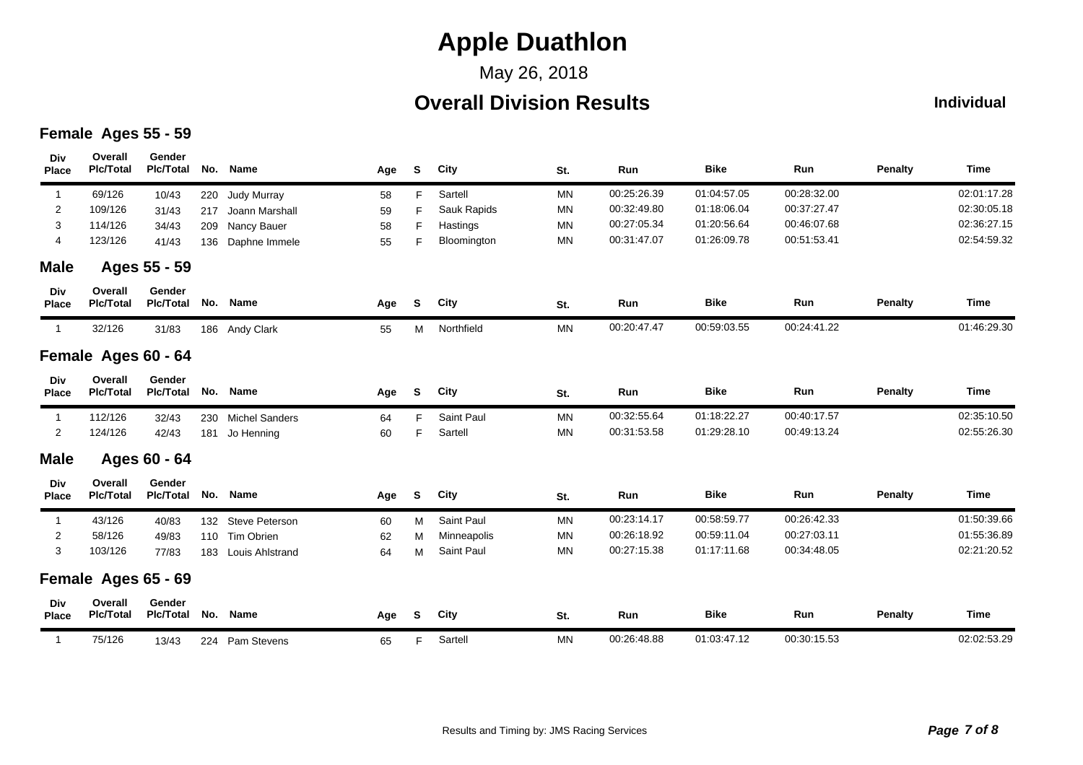## May 26, 2018

## **Overall Division Results**

#### **Individual**

### **Female Ages 55 - 59**

| Div<br><b>Place</b> | Overall<br><b>PIc/Total</b> | Gender<br><b>PIc/Total</b> | No. | Name                  | Age | S  | City        | St.       | Run         | <b>Bike</b> | Run         | <b>Penalty</b> | Time        |
|---------------------|-----------------------------|----------------------------|-----|-----------------------|-----|----|-------------|-----------|-------------|-------------|-------------|----------------|-------------|
| $\mathbf{1}$        | 69/126                      | 10/43                      | 220 | <b>Judy Murray</b>    | 58  | F. | Sartell     | MN        | 00:25:26.39 | 01:04:57.05 | 00:28:32.00 |                | 02:01:17.28 |
| 2                   | 109/126                     | 31/43                      | 217 | Joann Marshall        | 59  | F  | Sauk Rapids | MN        | 00:32:49.80 | 01:18:06.04 | 00:37:27.47 |                | 02:30:05.18 |
| 3                   | 114/126                     | 34/43                      | 209 | Nancy Bauer           | 58  | F  | Hastings    | MN        | 00:27:05.34 | 01:20:56.64 | 00:46:07.68 |                | 02:36:27.15 |
| 4                   | 123/126                     | 41/43                      | 136 | Daphne Immele         | 55  | F. | Bloomington | MN        | 00:31:47.07 | 01:26:09.78 | 00:51:53.41 |                | 02:54:59.32 |
| <b>Male</b>         |                             | Ages 55 - 59               |     |                       |     |    |             |           |             |             |             |                |             |
| Div<br><b>Place</b> | Overall<br><b>PIc/Total</b> | Gender<br><b>PIc/Total</b> | No. | Name                  | Age | S  | City        | St.       | Run         | <b>Bike</b> | Run         | <b>Penalty</b> | Time        |
| $\overline{1}$      | 32/126                      | 31/83                      |     | 186 Andy Clark        | 55  | М  | Northfield  | MN        | 00:20:47.47 | 00:59:03.55 | 00:24:41.22 |                | 01:46:29.30 |
|                     | Female Ages 60 - 64         |                            |     |                       |     |    |             |           |             |             |             |                |             |
| Div<br><b>Place</b> | Overall<br><b>PIc/Total</b> | Gender<br><b>PIc/Total</b> | No. | Name                  | Age | S  | City        | St.       | Run         | <b>Bike</b> | Run         | <b>Penalty</b> | Time        |
| $\mathbf{1}$        | 112/126                     | 32/43                      | 230 | <b>Michel Sanders</b> | 64  | F. | Saint Paul  | <b>MN</b> | 00:32:55.64 | 01:18:22.27 | 00:40:17.57 |                | 02:35:10.50 |
| 2                   | 124/126                     | 42/43                      | 181 | Jo Henning            | 60  | F  | Sartell     | <b>MN</b> | 00:31:53.58 | 01:29:28.10 | 00:49:13.24 |                | 02:55:26.30 |
| <b>Male</b>         |                             | Ages 60 - 64               |     |                       |     |    |             |           |             |             |             |                |             |
| Div<br><b>Place</b> | Overall<br><b>PIc/Total</b> | Gender<br><b>PIc/Total</b> | No. | <b>Name</b>           | Age | S  | City        | St.       | Run         | <b>Bike</b> | Run         | <b>Penalty</b> | <b>Time</b> |
| $\mathbf{1}$        | 43/126                      | 40/83                      | 132 | <b>Steve Peterson</b> | 60  | м  | Saint Paul  | MN        | 00:23:14.17 | 00:58:59.77 | 00:26:42.33 |                | 01:50:39.66 |
| 2                   | 58/126                      | 49/83                      |     | 110 Tim Obrien        | 62  | М  | Minneapolis | MN        | 00:26:18.92 | 00:59:11.04 | 00:27:03.11 |                | 01:55:36.89 |
| 3                   | 103/126                     | 77/83                      | 183 | Louis Ahlstrand       | 64  | М  | Saint Paul  | <b>MN</b> | 00:27:15.38 | 01:17:11.68 | 00:34:48.05 |                | 02:21:20.52 |
|                     | Female Ages 65 - 69         |                            |     |                       |     |    |             |           |             |             |             |                |             |
| Div<br><b>Place</b> | Overall<br><b>PIc/Total</b> | Gender<br><b>PIc/Total</b> | No. | Name                  | Age | S. | City        | St.       | Run         | <b>Bike</b> | Run         | <b>Penalty</b> | <b>Time</b> |
| $\mathbf{1}$        | 75/126                      | 13/43                      |     | 224 Pam Stevens       | 65  | F. | Sartell     | <b>MN</b> | 00:26:48.88 | 01:03:47.12 | 00:30:15.53 |                | 02:02:53.29 |